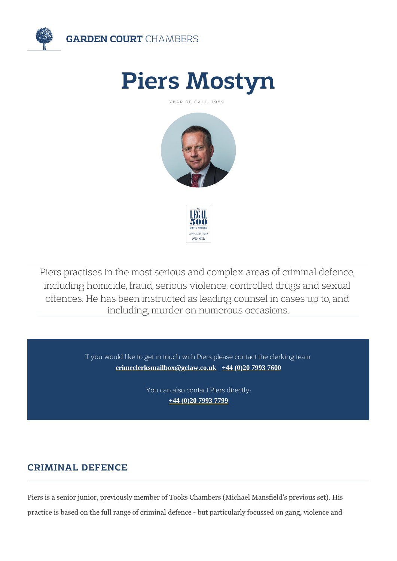# Piers Mostyn

YEAR OF CALL: 1989

Piers practises in the most serious and complex a including homicide, fraud, serious violence, cont offences. He has been instructed as leading cour including, murder on numerous occasion

> If you would like to get in touch with Piers please contad [crimeclerksmailbox@gclaw.co.uk](mailto:crimeclerksmailbox@gclaw.co.uk) | +44 (0) 20 7993 7600

> > You can also contact Piers directly: [+44 \(0\)20 7993 779](tel:+44 (0)20 7993 7799)9

# CRIMINAL DEFENCE

Piers is a senior junior, previously member of Tooks Chambers (Michael N practice is based on the full range of criminal defence - but particularly for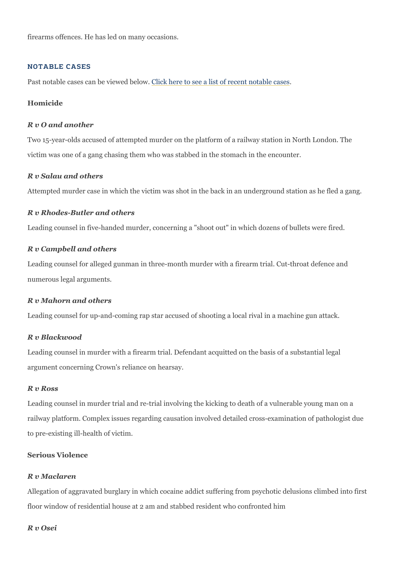firearms offences. He has led on many occasions.

#### NOTABLE CASES

Past notable cases can belivie wheed ebelowee a list of recent notable cases

Homicide

R v O and another Two 15-year-olds accused of attempted murder on the platform of a railwa victim was one of a gang chasing them who was stabbed in the stomach in

R v Salau and others Attempted murder case in which the victim was shot in the back in an und

R v Rhodes-Butler and others Leading counsel in five-handed murder, concerning a "shoot out" in which

R v Campbell and others Leading counsel for alleged gunman in three-month murder with a firearm numerous legal arguments.

R v Mahorn and others Leading counsel for up-and-coming rap star accused of shooting a local ri

R v Blackwood

Leading counsel in murder with a firearm trial. Defendant acquitted on the argument concerning Crown's reliance on hearsay.

#### R v Ross

Leading counsel in murder trial and re-trial involving the kicking to death railway platform. Complex issues regarding causation involved detailed crossto pre-existing ill-health of victim.

Serious Violence

#### R v Maclaren

Allegation of aggravated burglary in which cocaine addict suffering form psychotic delusions of floor window of residential house at 2 am and stabbed resident who confr

R v Osei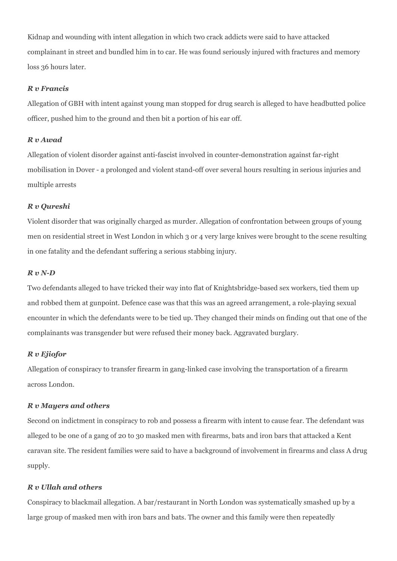Kidnap and wounding with intent allegation in which two crack addicts were said to have attacked complainant in street and bundled him in to car. He was found seriously injured with fractures and memory loss 36 hours later.

### *R v Francis*

Allegation of GBH with intent against young man stopped for drug search is alleged to have headbutted police officer, pushed him to the ground and then bit a portion of his ear off.

#### *R v Awad*

Allegation of violent disorder against anti-fascist involved in counter-demonstration against far-right mobilisation in Dover - a prolonged and violent stand-off over several hours resulting in serious injuries and multiple arrests

#### *R v Qureshi*

Violent disorder that was originally charged as murder. Allegation of confrontation between groups of young men on residential street in West London in which 3 or 4 very large knives were brought to the scene resulting in one fatality and the defendant suffering a serious stabbing injury.

#### *R v N-D*

Two defendants alleged to have tricked their way into flat of Knightsbridge-based sex workers, tied them up and robbed them at gunpoint. Defence case was that this was an agreed arrangement, a role-playing sexual encounter in which the defendants were to be tied up. They changed their minds on finding out that one of the complainants was transgender but were refused their money back. Aggravated burglary.

#### *R v Ejiofor*

Allegation of conspiracy to transfer firearm in gang-linked case involving the transportation of a firearm across London.

#### *R v Mayers and others*

Second on indictment in conspiracy to rob and possess a firearm with intent to cause fear. The defendant was alleged to be one of a gang of 20 to 30 masked men with firearms, bats and iron bars that attacked a Kent caravan site. The resident families were said to have a background of involvement in firearms and class A drug supply.

#### *R v Ullah and others*

Conspiracy to blackmail allegation. A bar/restaurant in North London was systematically smashed up by a large group of masked men with iron bars and bats. The owner and this family were then repeatedly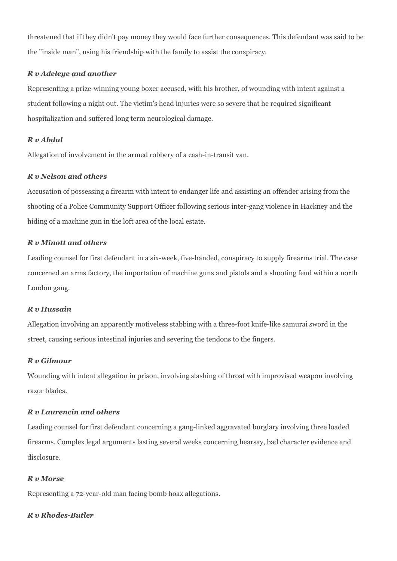threatened that if they didn't pay money they would face further consequences. This defendant was said to be the "inside man", using his friendship with the family to assist the conspiracy.

## *R v Adeleye and another*

Representing a prize-winning young boxer accused, with his brother, of wounding with intent against a student following a night out. The victim's head injuries were so severe that he required significant hospitalization and suffered long term neurological damage.

### *R v Abdul*

Allegation of involvement in the armed robbery of a cash-in-transit van.

### *R v Nelson and others*

Accusation of possessing a firearm with intent to endanger life and assisting an offender arising from the shooting of a Police Community Support Officer following serious inter-gang violence in Hackney and the hiding of a machine gun in the loft area of the local estate.

### *R v Minott and others*

Leading counsel for first defendant in a six-week, five-handed, conspiracy to supply firearms trial. The case concerned an arms factory, the importation of machine guns and pistols and a shooting feud within a north London gang.

#### *R v Hussain*

Allegation involving an apparently motiveless stabbing with a three-foot knife-like samurai sword in the street, causing serious intestinal injuries and severing the tendons to the fingers.

#### *R v Gilmour*

Wounding with intent allegation in prison, involving slashing of throat with improvised weapon involving razor blades.

### *R v Laurencin and others*

Leading counsel for first defendant concerning a gang-linked aggravated burglary involving three loaded firearms. Complex legal arguments lasting several weeks concerning hearsay, bad character evidence and disclosure.

#### *R v Morse*

Representing a 72-year-old man facing bomb hoax allegations.

#### *R v Rhodes-Butler*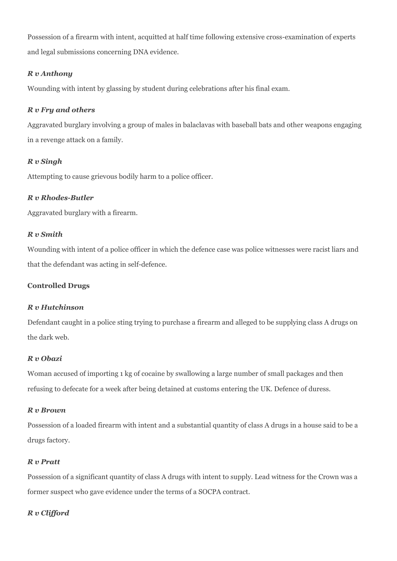Possession of a firearm with intent, acquitted at half time following extensive cross-examination of experts and legal submissions concerning DNA evidence.

# *R v Anthony*

Wounding with intent by glassing by student during celebrations after his final exam.

# *R v Fry and others*

Aggravated burglary involving a group of males in balaclavas with baseball bats and other weapons engaging in a revenge attack on a family.

# *R v Singh*

Attempting to cause grievous bodily harm to a police officer.

# *R v Rhodes-Butler*

Aggravated burglary with a firearm.

# *R v Smith*

Wounding with intent of a police officer in which the defence case was police witnesses were racist liars and that the defendant was acting in self-defence.

# **Controlled Drugs**

# *R v Hutchinson*

Defendant caught in a police sting trying to purchase a firearm and alleged to be supplying class A drugs on the dark web.

# *R v Obazi*

Woman accused of importing 1 kg of cocaine by swallowing a large number of small packages and then refusing to defecate for a week after being detained at customs entering the UK. Defence of duress.

# *R v Brown*

Possession of a loaded firearm with intent and a substantial quantity of class A drugs in a house said to be a drugs factory.

# *R v Pratt*

Possession of a significant quantity of class A drugs with intent to supply. Lead witness for the Crown was a former suspect who gave evidence under the terms of a SOCPA contract.

# *R v Clifford*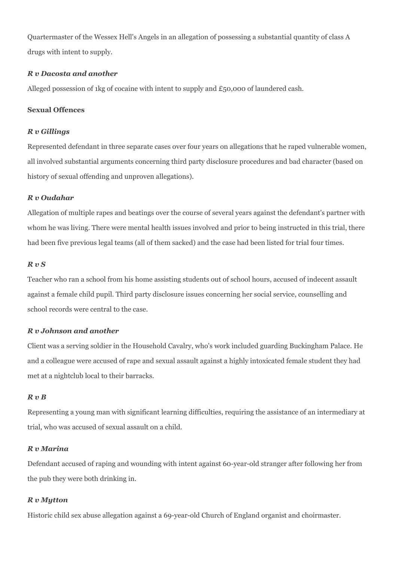Quartermaster of the Wessex Hell's Angels in an allegation of possessing a substantial quantity of class A drugs with intent to supply.

#### *R v Dacosta and another*

Alleged possession of 1kg of cocaine with intent to supply and £50,000 of laundered cash.

#### **Sexual Offences**

#### *R v Gillings*

Represented defendant in three separate cases over four years on allegations that he raped vulnerable women, all involved substantial arguments concerning third party disclosure procedures and bad character (based on history of sexual offending and unproven allegations).

### *R v Oudahar*

Allegation of multiple rapes and beatings over the course of several years against the defendant's partner with whom he was living. There were mental health issues involved and prior to being instructed in this trial, there had been five previous legal teams (all of them sacked) and the case had been listed for trial four times.

### *R v S*

Teacher who ran a school from his home assisting students out of school hours, accused of indecent assault against a female child pupil. Third party disclosure issues concerning her social service, counselling and school records were central to the case.

# *R v Johnson and another*

Client was a serving soldier in the Household Cavalry, who's work included guarding Buckingham Palace. He and a colleague were accused of rape and sexual assault against a highly intoxicated female student they had met at a nightclub local to their barracks.

# *R v B*

Representing a young man with significant learning difficulties, requiring the assistance of an intermediary at trial, who was accused of sexual assault on a child.

#### *R v Marina*

Defendant accused of raping and wounding with intent against 60-year-old stranger after following her from the pub they were both drinking in.

# *R v Mytton*

Historic child sex abuse allegation against a 69-year-old Church of England organist and choirmaster.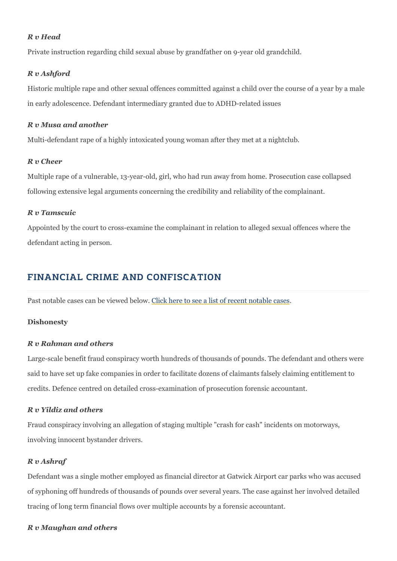R v Head Private instruction regarding child sexual abuse by grandfather on 9-year R v Ashford Historic multiple rape and other sexual offences committed against a chil in early adolescence. Defendant intermediary granted due to ADHD-relate R v Musa and another Multi-defendant rape of a highly intoxicated young woman after they met and R v Cheer Multiple rape of a vulnerable, 13-year-old, girl, who had run away from ho following extensive legal arguments concerning the credibility and reliabi R v Tamscuic Appointed by the court to cross-examine the complainant in relation to all

# FINANCIAL CRIME AND CONFISCATION

Past notable cases can belivik wheed ebelowee a list of recent notable cases

Dishonesty

defendant acting in person.

R v Rahman and others Large-scale benefit fraud conspiracy worth hundreds of thousands of pour said to have set up fake companies in order to facilitate dozens of claima credits. Defence centred on detailed cross-examination of prosecution for

R v Yildiz and others Fraud conspiracy involving an allegation of staging multiple "crash for ca involving innocent bystander drivers.

#### R v Ashraf

Defendant was a single mother employed as financial director at Gatwick of syphoning off hundreds of thousands of pounds over several years. The tracing of long term financial flows over multiple accounts by a forensic a

R v Maughan and others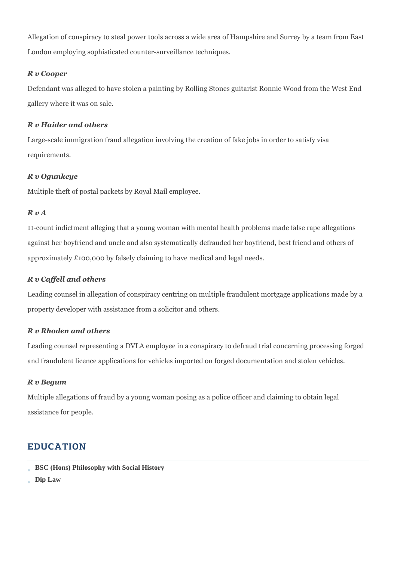Allegation of conspiracy to steal power tools across a wide area of Hampshire and Surrey by a team from East London employing sophisticated counter-surveillance techniques.

# *R v Cooper*

Defendant was alleged to have stolen a painting by Rolling Stones guitarist Ronnie Wood from the West End gallery where it was on sale.

# *R v Haider and others*

Large-scale immigration fraud allegation involving the creation of fake jobs in order to satisfy visa requirements.

# *R v Ogunkeye*

Multiple theft of postal packets by Royal Mail employee.

# *R v A*

11-count indictment alleging that a young woman with mental health problems made false rape allegations against her boyfriend and uncle and also systematically defrauded her boyfriend, best friend and others of approximately £100,000 by falsely claiming to have medical and legal needs.

# *R v Caffell and others*

Leading counsel in allegation of conspiracy centring on multiple fraudulent mortgage applications made by a property developer with assistance from a solicitor and others.

# *R v Rhoden and others*

Leading counsel representing a DVLA employee in a conspiracy to defraud trial concerning processing forged and fraudulent licence applications for vehicles imported on forged documentation and stolen vehicles.

# *R v Begum*

Multiple allegations of fraud by a young woman posing as a police officer and claiming to obtain legal assistance for people.

# EDUCATION

- **BSC (Hons) Philosophy with Social History**
- **Dip Law**